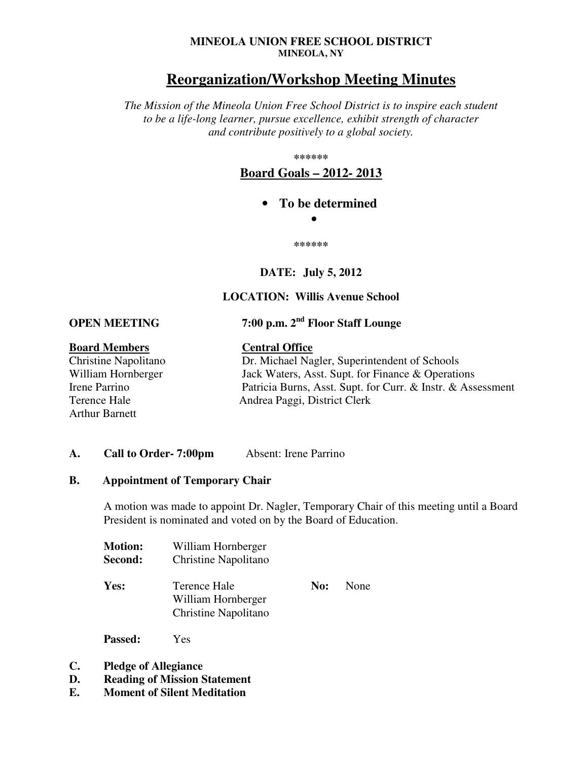#### **MINEOLA UNION FREE SCHOOL DISTRICT MINEOLA, NY**

## **Reorganization/Workshop Meeting Minutes**

*The Mission of the Mineola Union Free School District is to inspire each student to be a life-long learner, pursue excellence, exhibit strength of character and contribute positively to a global society.* 

**\*\*\*\*\*\*** 

**Board Goals – 2012- 2013**

• **To be determined** 

•

**\*\*\*\*\*\*** 

## **DATE: July 5, 2012**

## **LOCATION: Willis Avenue School**

**OPEN MEETING 7:00 p.m. 2nd Floor Staff Lounge** 

# **Board Members**<br> **Central Office**<br> **Central Office**<br> **Dr. Michael Na**

Arthur Barnett

Dr. Michael Nagler, Superintendent of Schools William Hornberger Jack Waters, Asst. Supt. for Finance & Operations Irene Parrino Patricia Burns, Asst. Supt. for Curr. & Instr. & Assessment Terence Hale Andrea Paggi, District Clerk

#### A. Call to Order- 7:00pm Absent: Irene Parrino

#### **B. Appointment of Temporary Chair**

A motion was made to appoint Dr. Nagler, Temporary Chair of this meeting until a Board President is nominated and voted on by the Board of Education.

| <b>Motion:</b><br>Second: | William Hornberger<br>Christine Napolitano                 |     |             |
|---------------------------|------------------------------------------------------------|-----|-------------|
| Yes:                      | Terence Hale<br>William Hornberger<br>Christine Napolitano | No: | <b>None</b> |

**Passed:** Yes

- **C. Pledge of Allegiance**
- **D. Reading of Mission Statement**
- **E. Moment of Silent Meditation**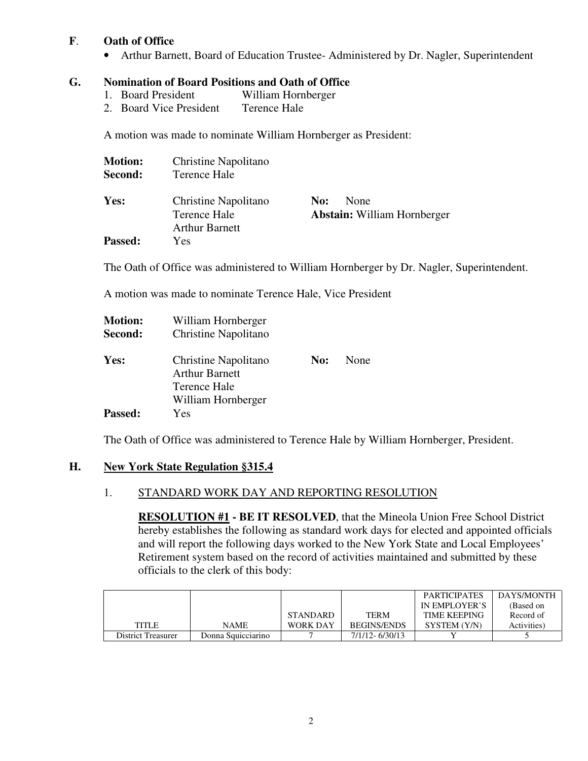## **F**. **Oath of Office**

• Arthur Barnett, Board of Education Trustee-Administered by Dr. Nagler, Superintendent

### **G. Nomination of Board Positions and Oath of Office**

- 1. Board President William Hornberger
- 2. Board Vice President Terence Hale

A motion was made to nominate William Hornberger as President:

| <b>Motion:</b><br>Second: | Christine Napolitano<br>Terence Hale                          |     |                                            |
|---------------------------|---------------------------------------------------------------|-----|--------------------------------------------|
| Yes:                      | Christine Napolitano<br>Terence Hale<br><b>Arthur Barnett</b> | No: | None<br><b>Abstain:</b> William Hornberger |
| <b>Passed:</b>            | Yes                                                           |     |                                            |

The Oath of Office was administered to William Hornberger by Dr. Nagler, Superintendent.

A motion was made to nominate Terence Hale, Vice President

| <b>Motion:</b><br>Second: | William Hornberger<br>Christine Napolitano                                          |     |      |
|---------------------------|-------------------------------------------------------------------------------------|-----|------|
| Yes:                      | Christine Napolitano<br><b>Arthur Barnett</b><br>Terence Hale<br>William Hornberger | No: | None |
| <b>Passed:</b>            | Yes                                                                                 |     |      |

The Oath of Office was administered to Terence Hale by William Hornberger, President.

#### **H. New York State Regulation §315.4**

## 1. STANDARD WORK DAY AND REPORTING RESOLUTION

**RESOLUTION #1 - BE IT RESOLVED**, that the Mineola Union Free School District hereby establishes the following as standard work days for elected and appointed officials and will report the following days worked to the New York State and Local Employees' Retirement system based on the record of activities maintained and submitted by these officials to the clerk of this body:

|                    |                    |                 |                    | <b>PARTICIPATES</b> | DAYS/MONTH  |
|--------------------|--------------------|-----------------|--------------------|---------------------|-------------|
|                    |                    |                 |                    | IN EMPLOYER'S       | (Based on   |
|                    |                    | <b>STANDARD</b> | TERM               | <b>TIME KEEPING</b> | Record of   |
| <b>TITLE</b>       | <b>NAME</b>        | WORK DAY        | <b>BEGINS/ENDS</b> | SYSTEM (Y/N)        | Activities) |
| District Treasurer | Donna Squicciarino |                 | 7/1/12-6/30/13     |                     |             |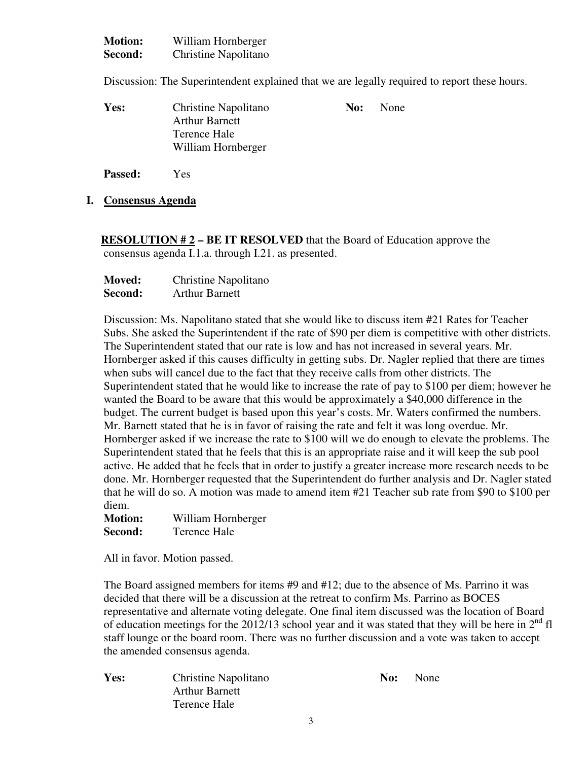| <b>Motion:</b> | William Hornberger   |
|----------------|----------------------|
| Second:        | Christine Napolitano |

Discussion: The Superintendent explained that we are legally required to report these hours.

| Yes: | Christine Napolitano  | No: | None |
|------|-----------------------|-----|------|
|      | <b>Arthur Barnett</b> |     |      |
|      | Terence Hale          |     |      |
|      | William Hornberger    |     |      |
|      |                       |     |      |

**Passed:** Yes

**I. Consensus Agenda**

 **RESOLUTION # 2 – BE IT RESOLVED** that the Board of Education approve the consensus agenda I.1.a. through I.21. as presented.

| Moved:  | Christine Napolitano  |  |
|---------|-----------------------|--|
| Second: | <b>Arthur Barnett</b> |  |

Discussion: Ms. Napolitano stated that she would like to discuss item #21 Rates for Teacher Subs. She asked the Superintendent if the rate of \$90 per diem is competitive with other districts. The Superintendent stated that our rate is low and has not increased in several years. Mr. Hornberger asked if this causes difficulty in getting subs. Dr. Nagler replied that there are times when subs will cancel due to the fact that they receive calls from other districts. The Superintendent stated that he would like to increase the rate of pay to \$100 per diem; however he wanted the Board to be aware that this would be approximately a \$40,000 difference in the budget. The current budget is based upon this year's costs. Mr. Waters confirmed the numbers. Mr. Barnett stated that he is in favor of raising the rate and felt it was long overdue. Mr. Hornberger asked if we increase the rate to \$100 will we do enough to elevate the problems. The Superintendent stated that he feels that this is an appropriate raise and it will keep the sub pool active. He added that he feels that in order to justify a greater increase more research needs to be done. Mr. Hornberger requested that the Superintendent do further analysis and Dr. Nagler stated that he will do so. A motion was made to amend item #21 Teacher sub rate from \$90 to \$100 per diem.

| <b>Motion:</b> | William Hornberger |
|----------------|--------------------|
| Second:        | Terence Hale       |

All in favor. Motion passed.

The Board assigned members for items #9 and #12; due to the absence of Ms. Parrino it was decided that there will be a discussion at the retreat to confirm Ms. Parrino as BOCES representative and alternate voting delegate. One final item discussed was the location of Board of education meetings for the 2012/13 school year and it was stated that they will be here in  $2^{nd}$  fl staff lounge or the board room. There was no further discussion and a vote was taken to accept the amended consensus agenda.

Arthur Barnett Terence Hale

**Yes:** Christine Napolitano **No:** No: None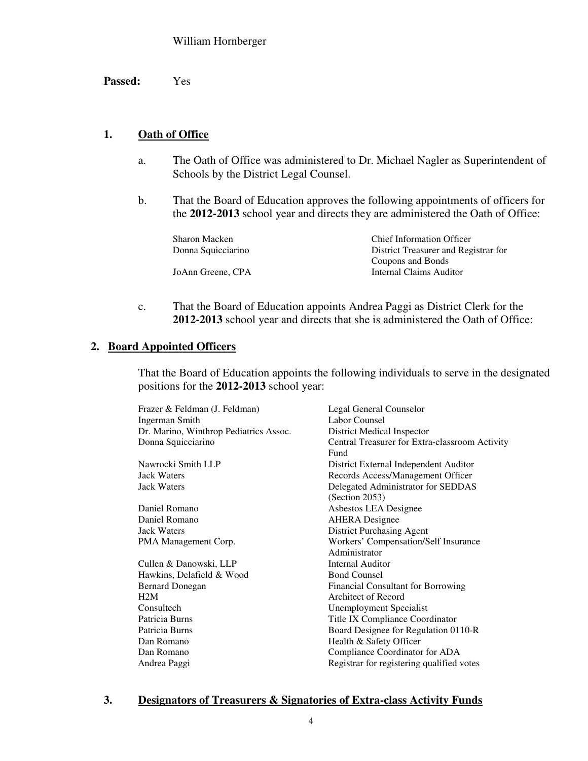**Passed:** Yes

## **1. Oath of Office**

- a. The Oath of Office was administered to Dr. Michael Nagler as Superintendent of Schools by the District Legal Counsel.
- b. That the Board of Education approves the following appointments of officers for the **2012-2013** school year and directs they are administered the Oath of Office:

| Sharon Macken      | <b>Chief Information Officer</b>     |  |
|--------------------|--------------------------------------|--|
| Donna Squicciarino | District Treasurer and Registrar for |  |
|                    | Coupons and Bonds                    |  |
| JoAnn Greene, CPA  | Internal Claims Auditor              |  |

c. That the Board of Education appoints Andrea Paggi as District Clerk for the **2012-2013** school year and directs that she is administered the Oath of Office:

## **2. Board Appointed Officers**

That the Board of Education appoints the following individuals to serve in the designated positions for the **2012-2013** school year:

| Frazer & Feldman (J. Feldman)          | Legal General Counselor                        |
|----------------------------------------|------------------------------------------------|
| <b>Ingerman Smith</b>                  | Labor Counsel                                  |
| Dr. Marino, Winthrop Pediatrics Assoc. | District Medical Inspector                     |
| Donna Squicciarino                     | Central Treasurer for Extra-classroom Activity |
|                                        | Fund                                           |
| Nawrocki Smith LLP                     | District External Independent Auditor          |
| <b>Jack Waters</b>                     | Records Access/Management Officer              |
| <b>Jack Waters</b>                     | Delegated Administrator for SEDDAS             |
|                                        | (Section 2053)                                 |
| Daniel Romano                          | Asbestos LEA Designee                          |
| Daniel Romano                          | <b>AHERA</b> Designee                          |
| <b>Jack Waters</b>                     | <b>District Purchasing Agent</b>               |
| PMA Management Corp.                   | Workers' Compensation/Self Insurance           |
|                                        | Administrator                                  |
| Cullen & Danowski, LLP                 | <b>Internal Auditor</b>                        |
| Hawkins, Delafield & Wood              | <b>Bond Counsel</b>                            |
| <b>Bernard Donegan</b>                 | Financial Consultant for Borrowing             |
| H2M                                    | Architect of Record                            |
| Consultech                             | <b>Unemployment Specialist</b>                 |
| Patricia Burns                         | Title IX Compliance Coordinator                |
| Patricia Burns                         | Board Designee for Regulation 0110-R           |
| Dan Romano                             | Health & Safety Officer                        |
| Dan Romano                             | Compliance Coordinator for ADA                 |
| Andrea Paggi                           | Registrar for registering qualified votes      |
|                                        |                                                |

## **3. Designators of Treasurers & Signatories of Extra-class Activity Funds**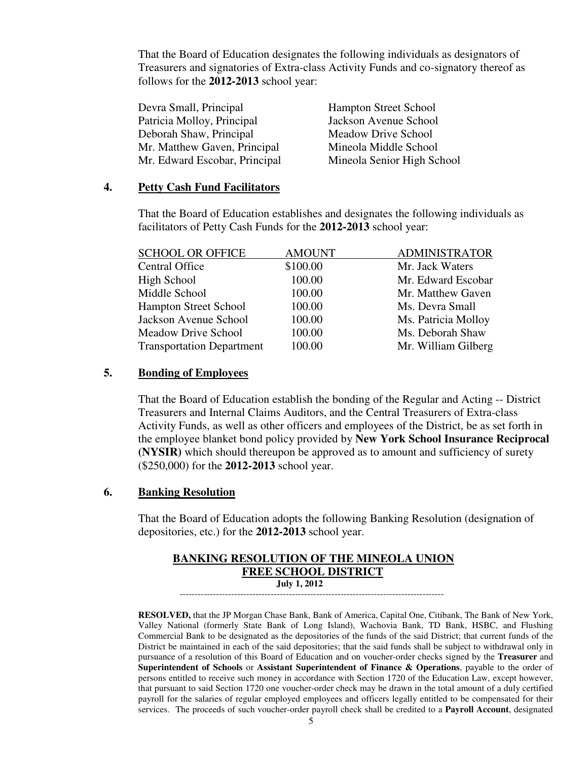That the Board of Education designates the following individuals as designators of Treasurers and signatories of Extra-class Activity Funds and co-signatory thereof as follows for the **2012-2013** school year:

| Mineola Senior High School |
|----------------------------|
|                            |

#### **4. Petty Cash Fund Facilitators**

That the Board of Education establishes and designates the following individuals as facilitators of Petty Cash Funds for the **2012-2013** school year:

| <b>SCHOOL OR OFFICE</b>          | <b>AMOUNT</b> | <b>ADMINISTRATOR</b> |
|----------------------------------|---------------|----------------------|
| <b>Central Office</b>            | \$100.00      | Mr. Jack Waters      |
| High School                      | 100.00        | Mr. Edward Escobar   |
| Middle School                    | 100.00        | Mr. Matthew Gaven    |
| <b>Hampton Street School</b>     | 100.00        | Ms. Devra Small      |
| Jackson Avenue School            | 100.00        | Ms. Patricia Molloy  |
| Meadow Drive School              | 100.00        | Ms. Deborah Shaw     |
| <b>Transportation Department</b> | 100.00        | Mr. William Gilberg  |
|                                  |               |                      |

#### **5. Bonding of Employees**

 That the Board of Education establish the bonding of the Regular and Acting -- District Treasurers and Internal Claims Auditors, and the Central Treasurers of Extra-class Activity Funds, as well as other officers and employees of the District, be as set forth in the employee blanket bond policy provided by **New York School Insurance Reciprocal (NYSIR)** which should thereupon be approved as to amount and sufficiency of surety (\$250,000) for the **2012-2013** school year.

#### **6. Banking Resolution**

That the Board of Education adopts the following Banking Resolution (designation of depositories, etc.) for the **2012-2013** school year.

#### **BANKING RESOLUTION OF THE MINEOLA UNION FREE SCHOOL DISTRICT July 1, 2012**

---------------------------------------------------------------------------------------

 **RESOLVED,** that the JP Morgan Chase Bank, Bank of America, Capital One, Citibank, The Bank of New York, Valley National (formerly State Bank of Long Island), Wachovia Bank, TD Bank, HSBC, and Flushing Commercial Bank to be designated as the depositories of the funds of the said District; that current funds of the District be maintained in each of the said depositories; that the said funds shall be subject to withdrawal only in pursuance of a resolution of this Board of Education and on voucher-order checks signed by the **Treasurer** and **Superintendent of Schools** or **Assistant Superintendent of Finance & Operations**, payable to the order of persons entitled to receive such money in accordance with Section 1720 of the Education Law, except however, that pursuant to said Section 1720 one voucher-order check may be drawn in the total amount of a duly certified payroll for the salaries of regular employed employees and officers legally entitled to be compensated for their services. The proceeds of such voucher-order payroll check shall be credited to a **Payroll Account**, designated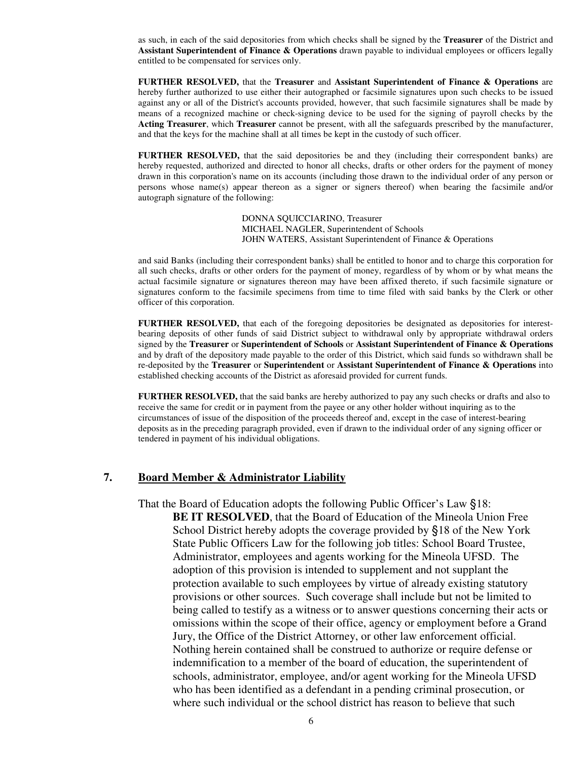as such, in each of the said depositories from which checks shall be signed by the **Treasurer** of the District and **Assistant Superintendent of Finance & Operations** drawn payable to individual employees or officers legally entitled to be compensated for services only.

**FURTHER RESOLVED,** that the **Treasurer** and **Assistant Superintendent of Finance & Operations** are hereby further authorized to use either their autographed or facsimile signatures upon such checks to be issued against any or all of the District's accounts provided, however, that such facsimile signatures shall be made by means of a recognized machine or check-signing device to be used for the signing of payroll checks by the **Acting Treasurer**, which **Treasurer** cannot be present, with all the safeguards prescribed by the manufacturer, and that the keys for the machine shall at all times be kept in the custody of such officer.

**FURTHER RESOLVED,** that the said depositories be and they (including their correspondent banks) are hereby requested, authorized and directed to honor all checks, drafts or other orders for the payment of money drawn in this corporation's name on its accounts (including those drawn to the individual order of any person or persons whose name(s) appear thereon as a signer or signers thereof) when bearing the facsimile and/or autograph signature of the following:

> DONNA SQUICCIARINO, Treasurer MICHAEL NAGLER, Superintendent of Schools JOHN WATERS, Assistant Superintendent of Finance & Operations

and said Banks (including their correspondent banks) shall be entitled to honor and to charge this corporation for all such checks, drafts or other orders for the payment of money, regardless of by whom or by what means the actual facsimile signature or signatures thereon may have been affixed thereto, if such facsimile signature or signatures conform to the facsimile specimens from time to time filed with said banks by the Clerk or other officer of this corporation.

**FURTHER RESOLVED,** that each of the foregoing depositories be designated as depositories for interestbearing deposits of other funds of said District subject to withdrawal only by appropriate withdrawal orders signed by the **Treasurer** or **Superintendent of Schools** or **Assistant Superintendent of Finance & Operations** and by draft of the depository made payable to the order of this District, which said funds so withdrawn shall be re-deposited by the **Treasurer** or **Superintendent** or **Assistant Superintendent of Finance & Operations** into established checking accounts of the District as aforesaid provided for current funds.

**FURTHER RESOLVED,** that the said banks are hereby authorized to pay any such checks or drafts and also to receive the same for credit or in payment from the payee or any other holder without inquiring as to the circumstances of issue of the disposition of the proceeds thereof and, except in the case of interest-bearing deposits as in the preceding paragraph provided, even if drawn to the individual order of any signing officer or tendered in payment of his individual obligations.

#### **7. Board Member & Administrator Liability**

 That the Board of Education adopts the following Public Officer's Law §18: **BE IT RESOLVED**, that the Board of Education of the Mineola Union Free School District hereby adopts the coverage provided by §18 of the New York State Public Officers Law for the following job titles: School Board Trustee, Administrator, employees and agents working for the Mineola UFSD. The adoption of this provision is intended to supplement and not supplant the protection available to such employees by virtue of already existing statutory provisions or other sources. Such coverage shall include but not be limited to being called to testify as a witness or to answer questions concerning their acts or omissions within the scope of their office, agency or employment before a Grand Jury, the Office of the District Attorney, or other law enforcement official. Nothing herein contained shall be construed to authorize or require defense or indemnification to a member of the board of education, the superintendent of schools, administrator, employee, and/or agent working for the Mineola UFSD who has been identified as a defendant in a pending criminal prosecution, or where such individual or the school district has reason to believe that such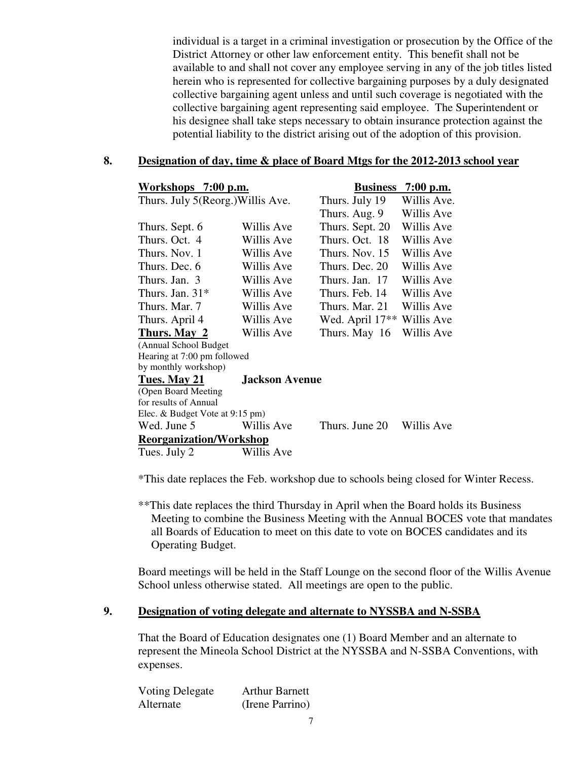individual is a target in a criminal investigation or prosecution by the Office of the District Attorney or other law enforcement entity. This benefit shall not be available to and shall not cover any employee serving in any of the job titles listed herein who is represented for collective bargaining purposes by a duly designated collective bargaining agent unless and until such coverage is negotiated with the collective bargaining agent representing said employee. The Superintendent or his designee shall take steps necessary to obtain insurance protection against the potential liability to the district arising out of the adoption of this provision.

#### **8. Designation of day, time & place of Board Mtgs for the 2012-2013 school year**

| Workshops 7:00 p.m.               |                       | <b>Business</b>                        | $7:00$ p.m. |
|-----------------------------------|-----------------------|----------------------------------------|-------------|
| Thurs. July 5(Reorg.) Willis Ave. |                       | Thurs. July 19                         | Willis Ave. |
|                                   |                       | Thurs. Aug. 9                          | Willis Ave  |
| Thurs. Sept. 6                    | Willis Ave            | Thurs. Sept. 20                        | Willis Ave  |
| Thurs. Oct. 4                     | Willis Ave            | Thurs. Oct. 18                         | Willis Ave  |
| Thurs, Nov. 1                     | Willis Ave            | Thurs, Nov. 15                         | Willis Ave  |
| Thurs. Dec. 6                     | Willis Ave            | Thurs. Dec. 20                         | Willis Ave  |
| Thurs. Jan. 3                     | Willis Ave            | Thurs. Jan. 17                         | Willis Ave  |
| Thurs. Jan. $31*$                 | Willis Ave            | Thurs. Feb. 14                         | Willis Ave  |
| Thurs. Mar. 7                     | Willis Ave            | Thurs. Mar. 21                         | Willis Ave  |
| Thurs. April 4                    | Willis Ave            | Wed. April 17 <sup>**</sup> Willis Ave |             |
| Thurs. May 2                      | Willis Ave            | Thurs. May 16                          | Willis Ave  |
| (Annual School Budget             |                       |                                        |             |
| Hearing at 7:00 pm followed       |                       |                                        |             |
| by monthly workshop)              |                       |                                        |             |
| Tues. May 21                      | <b>Jackson Avenue</b> |                                        |             |
| (Open Board Meeting               |                       |                                        |             |
| for results of Annual             |                       |                                        |             |
| Elec. & Budget Vote at 9:15 pm)   |                       |                                        |             |
| Wed. June 5                       | Willis Ave            | Thurs. June 20                         | Willis Ave  |
| <b>Reorganization/Workshop</b>    |                       |                                        |             |
| Tues. July 2                      | Willis Ave            |                                        |             |

\*This date replaces the Feb. workshop due to schools being closed for Winter Recess.

\*\*This date replaces the third Thursday in April when the Board holds its Business Meeting to combine the Business Meeting with the Annual BOCES vote that mandates all Boards of Education to meet on this date to vote on BOCES candidates and its Operating Budget.

Board meetings will be held in the Staff Lounge on the second floor of the Willis Avenue School unless otherwise stated. All meetings are open to the public.

#### **9. Designation of voting delegate and alternate to NYSSBA and N-SSBA**

That the Board of Education designates one (1) Board Member and an alternate to represent the Mineola School District at the NYSSBA and N-SSBA Conventions, with expenses.

| Voting Delegate | <b>Arthur Barnett</b> |
|-----------------|-----------------------|
| Alternate       | (Irene Parrino)       |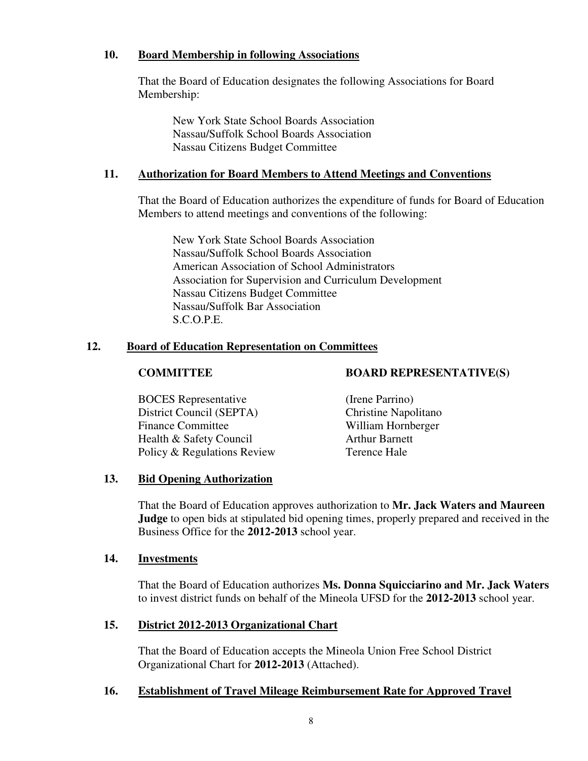## **10. Board Membership in following Associations**

That the Board of Education designates the following Associations for Board Membership:

New York State School Boards Association Nassau/Suffolk School Boards Association Nassau Citizens Budget Committee

## **11. Authorization for Board Members to Attend Meetings and Conventions**

That the Board of Education authorizes the expenditure of funds for Board of Education Members to attend meetings and conventions of the following:

New York State School Boards Association Nassau/Suffolk School Boards Association American Association of School Administrators Association for Supervision and Curriculum Development Nassau Citizens Budget Committee Nassau/Suffolk Bar Association S.C.O.P.E.

## **12. Board of Education Representation on Committees**

**COMMITTEE BOARD REPRESENTATIVE(S)** 

 BOCES Representative (Irene Parrino) District Council (SEPTA) Christine Napolitano Finance Committee William Hornberger Health & Safety Council **Arthur Barnett** Policy & Regulations Review Terence Hale

## **13. Bid Opening Authorization**

That the Board of Education approves authorization to **Mr. Jack Waters and Maureen Judge** to open bids at stipulated bid opening times, properly prepared and received in the Business Office for the **2012-2013** school year.

## **14. Investments**

That the Board of Education authorizes **Ms. Donna Squicciarino and Mr. Jack Waters** to invest district funds on behalf of the Mineola UFSD for the **2012-2013** school year.

## **15. District 2012-2013 Organizational Chart**

That the Board of Education accepts the Mineola Union Free School District Organizational Chart for **2012-2013** (Attached).

## **16. Establishment of Travel Mileage Reimbursement Rate for Approved Travel**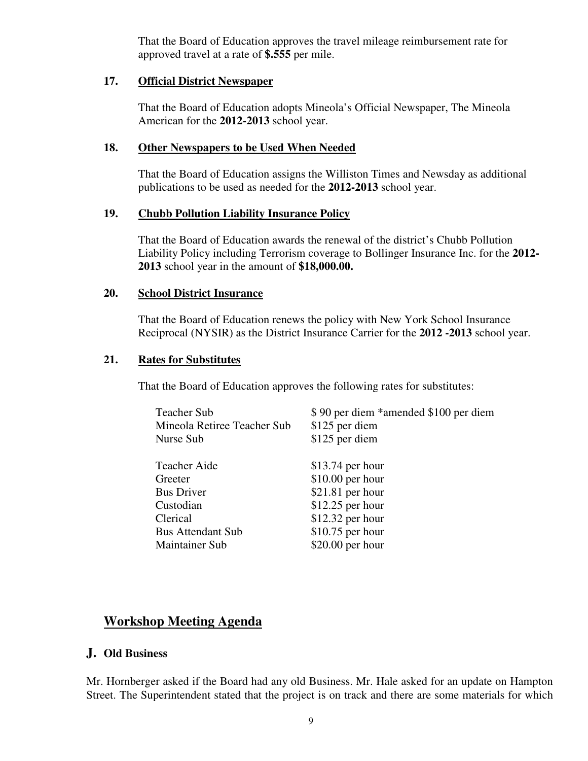That the Board of Education approves the travel mileage reimbursement rate for approved travel at a rate of **\$.555** per mile.

## **17. Official District Newspaper**

That the Board of Education adopts Mineola's Official Newspaper, The Mineola American for the **2012-2013** school year.

## **18. Other Newspapers to be Used When Needed**

That the Board of Education assigns the Williston Times and Newsday as additional publications to be used as needed for the **2012-2013** school year.

## **19. Chubb Pollution Liability Insurance Policy**

That the Board of Education awards the renewal of the district's Chubb Pollution Liability Policy including Terrorism coverage to Bollinger Insurance Inc. for the **2012- 2013** school year in the amount of **\$18,000.00.**

## **20. School District Insurance**

That the Board of Education renews the policy with New York School Insurance Reciprocal (NYSIR) as the District Insurance Carrier for the **2012 -2013** school year.

## **21. Rates for Substitutes**

That the Board of Education approves the following rates for substitutes:

| <b>Teacher Sub</b><br>Mineola Retiree Teacher Sub<br>Nurse Sub | \$90 per diem *amended \$100 per diem<br>\$125 per diem<br>\$125 per diem |
|----------------------------------------------------------------|---------------------------------------------------------------------------|
| <b>Teacher Aide</b>                                            | $$13.74$ per hour                                                         |
| Greeter                                                        | $$10.00$ per hour                                                         |
| <b>Bus Driver</b>                                              | \$21.81 per hour                                                          |
| Custodian                                                      | $$12.25$ per hour                                                         |
| Clerical                                                       | $$12.32$ per hour                                                         |
| <b>Bus Attendant Sub</b>                                       | $$10.75$ per hour                                                         |
| <b>Maintainer Sub</b>                                          | $$20.00$ per hour                                                         |

## **Workshop Meeting Agenda**

## **J. Old Business**

Mr. Hornberger asked if the Board had any old Business. Mr. Hale asked for an update on Hampton Street. The Superintendent stated that the project is on track and there are some materials for which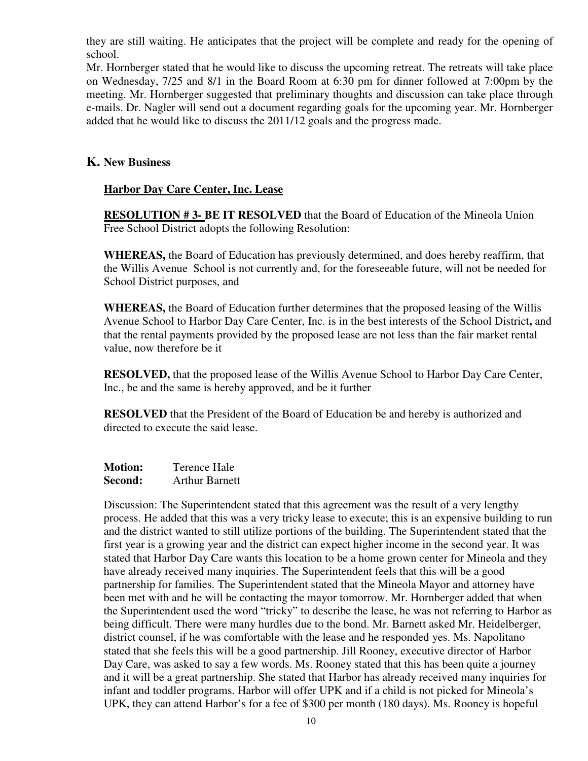they are still waiting. He anticipates that the project will be complete and ready for the opening of school.

Mr. Hornberger stated that he would like to discuss the upcoming retreat. The retreats will take place on Wednesday, 7/25 and 8/1 in the Board Room at 6:30 pm for dinner followed at 7:00pm by the meeting. Mr. Hornberger suggested that preliminary thoughts and discussion can take place through e-mails. Dr. Nagler will send out a document regarding goals for the upcoming year. Mr. Hornberger added that he would like to discuss the 2011/12 goals and the progress made.

## **K. New Business**

## **Harbor Day Care Center, Inc. Lease**

**RESOLUTION # 3- BE IT RESOLVED** that the Board of Education of the Mineola Union Free School District adopts the following Resolution:

**WHEREAS,** the Board of Education has previously determined, and does hereby reaffirm, that the Willis Avenue School is not currently and, for the foreseeable future, will not be needed for School District purposes, and

**WHEREAS,** the Board of Education further determines that the proposed leasing of the Willis Avenue School to Harbor Day Care Center, Inc. is in the best interests of the School District**,** and that the rental payments provided by the proposed lease are not less than the fair market rental value, now therefore be it

**RESOLVED,** that the proposed lease of the Willis Avenue School to Harbor Day Care Center, Inc., be and the same is hereby approved, and be it further

**RESOLVED** that the President of the Board of Education be and hereby is authorized and directed to execute the said lease.

| <b>Motion:</b> | Terence Hale          |
|----------------|-----------------------|
| Second:        | <b>Arthur Barnett</b> |

Discussion: The Superintendent stated that this agreement was the result of a very lengthy process. He added that this was a very tricky lease to execute; this is an expensive building to run and the district wanted to still utilize portions of the building. The Superintendent stated that the first year is a growing year and the district can expect higher income in the second year. It was stated that Harbor Day Care wants this location to be a home grown center for Mineola and they have already received many inquiries. The Superintendent feels that this will be a good partnership for families. The Superintendent stated that the Mineola Mayor and attorney have been met with and he will be contacting the mayor tomorrow. Mr. Hornberger added that when the Superintendent used the word "tricky" to describe the lease, he was not referring to Harbor as being difficult. There were many hurdles due to the bond. Mr. Barnett asked Mr. Heidelberger, district counsel, if he was comfortable with the lease and he responded yes. Ms. Napolitano stated that she feels this will be a good partnership. Jill Rooney, executive director of Harbor Day Care, was asked to say a few words. Ms. Rooney stated that this has been quite a journey and it will be a great partnership. She stated that Harbor has already received many inquiries for infant and toddler programs. Harbor will offer UPK and if a child is not picked for Mineola's UPK, they can attend Harbor's for a fee of \$300 per month (180 days). Ms. Rooney is hopeful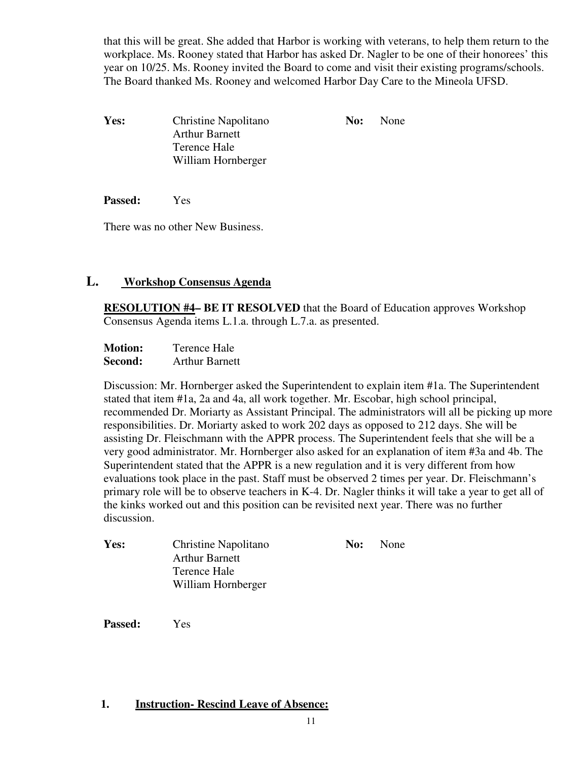that this will be great. She added that Harbor is working with veterans, to help them return to the workplace. Ms. Rooney stated that Harbor has asked Dr. Nagler to be one of their honorees' this year on 10/25. Ms. Rooney invited the Board to come and visit their existing programs/schools. The Board thanked Ms. Rooney and welcomed Harbor Day Care to the Mineola UFSD.

Yes: Christine Napolitano **No:** None Arthur Barnett Terence Hale William Hornberger

**Passed:** Yes

There was no other New Business.

## **L. Workshop Consensus Agenda**

**RESOLUTION #4– BE IT RESOLVED** that the Board of Education approves Workshop Consensus Agenda items L.1.a. through L.7.a. as presented.

**Motion:** Terence Hale **Second:** Arthur Barnett

Discussion: Mr. Hornberger asked the Superintendent to explain item #1a. The Superintendent stated that item #1a, 2a and 4a, all work together. Mr. Escobar, high school principal, recommended Dr. Moriarty as Assistant Principal. The administrators will all be picking up more responsibilities. Dr. Moriarty asked to work 202 days as opposed to 212 days. She will be assisting Dr. Fleischmann with the APPR process. The Superintendent feels that she will be a very good administrator. Mr. Hornberger also asked for an explanation of item #3a and 4b. The Superintendent stated that the APPR is a new regulation and it is very different from how evaluations took place in the past. Staff must be observed 2 times per year. Dr. Fleischmann's primary role will be to observe teachers in K-4. Dr. Nagler thinks it will take a year to get all of the kinks worked out and this position can be revisited next year. There was no further discussion.

| Yes: | Christine Napolitano  | No: | None |
|------|-----------------------|-----|------|
|      | <b>Arthur Barnett</b> |     |      |
|      | Terence Hale          |     |      |
|      | William Hornberger    |     |      |

**Passed:** Yes

## **1. Instruction- Rescind Leave of Absence:**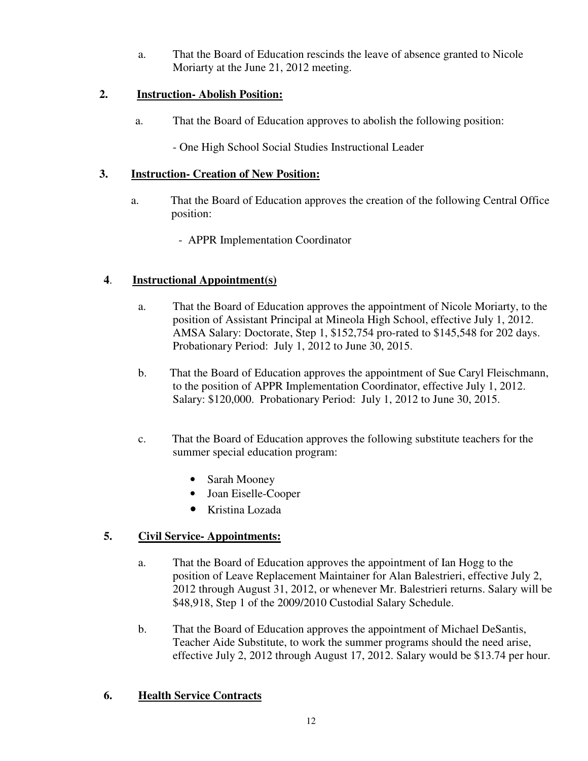a. That the Board of Education rescinds the leave of absence granted to Nicole Moriarty at the June 21, 2012 meeting.

## **2. Instruction- Abolish Position:**

a. That the Board of Education approves to abolish the following position:

- One High School Social Studies Instructional Leader

## **3. Instruction- Creation of New Position:**

- a. That the Board of Education approves the creation of the following Central Office position:
	- APPR Implementation Coordinator

## **4**. **Instructional Appointment(s)**

- a. That the Board of Education approves the appointment of Nicole Moriarty, to the position of Assistant Principal at Mineola High School, effective July 1, 2012. AMSA Salary: Doctorate, Step 1, \$152,754 pro-rated to \$145,548 for 202 days. Probationary Period: July 1, 2012 to June 30, 2015.
- b. That the Board of Education approves the appointment of Sue Caryl Fleischmann, to the position of APPR Implementation Coordinator, effective July 1, 2012. Salary: \$120,000. Probationary Period: July 1, 2012 to June 30, 2015.
- c. That the Board of Education approves the following substitute teachers for the summer special education program:
	- Sarah Mooney
	- Joan Eiselle-Cooper
	- Kristina Lozada

## **5. Civil Service- Appointments:**

- a. That the Board of Education approves the appointment of Ian Hogg to the position of Leave Replacement Maintainer for Alan Balestrieri, effective July 2, 2012 through August 31, 2012, or whenever Mr. Balestrieri returns. Salary will be \$48,918, Step 1 of the 2009/2010 Custodial Salary Schedule.
- b. That the Board of Education approves the appointment of Michael DeSantis, Teacher Aide Substitute, to work the summer programs should the need arise, effective July 2, 2012 through August 17, 2012. Salary would be \$13.74 per hour.

## **6. Health Service Contracts**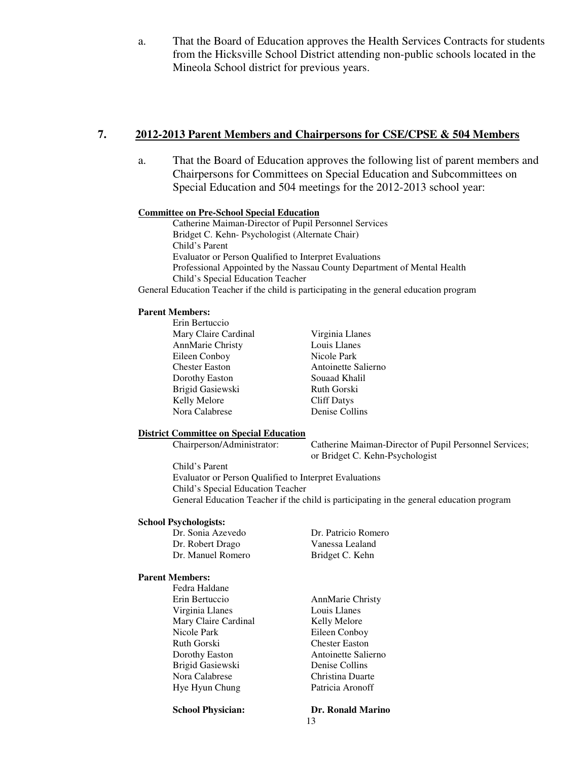a. That the Board of Education approves the Health Services Contracts for students from the Hicksville School District attending non-public schools located in the Mineola School district for previous years.

#### **7. 2012-2013 Parent Members and Chairpersons for CSE/CPSE & 504 Members**

a. That the Board of Education approves the following list of parent members and Chairpersons for Committees on Special Education and Subcommittees on Special Education and 504 meetings for the 2012-2013 school year:

#### **Committee on Pre-School Special Education**

Catherine Maiman-Director of Pupil Personnel Services Bridget C. Kehn- Psychologist (Alternate Chair) Child's Parent Evaluator or Person Qualified to Interpret Evaluations Professional Appointed by the Nassau County Department of Mental Health Child's Special Education Teacher

General Education Teacher if the child is participating in the general education program

#### **Parent Members:**

 Erin Bertuccio Mary Claire Cardinal Virginia Llanes AnnMarie Christy Louis Llanes Eileen Conboy Nicole Park Chester Easton Antoinette Salierno Dorothy Easton Souaad Khalil Brigid Gasiewski Ruth Gorski Kelly Melore Cliff Datys Nora Calabrese Denise Collins

#### **District Committee on Special Education**

Chairperson/Administrator: Catherine Maiman-Director of Pupil Personnel Services; or Bridget C. Kehn-Psychologist

Child's Parent Evaluator or Person Qualified to Interpret Evaluations Child's Special Education Teacher General Education Teacher if the child is participating in the general education program

#### **School Psychologists:**

| Dr. Sonia Azevedo | Dr. Patricio Romero |
|-------------------|---------------------|
| Dr. Robert Drago  | Vanessa Lealand     |
| Dr. Manuel Romero | Bridget C. Kehn     |

#### **Parent Members:**

Fedra Haldane Erin Bertuccio AnnMarie Christy Virginia Llanes Louis Llanes Mary Claire Cardinal Kelly Melore Nicole Park Eileen Conboy Ruth Gorski Chester Easton Dorothy Easton **Antoinette Salierno**  Brigid Gasiewski Denise Collins Nora Calabrese Christina Duarte Hye Hyun Chung Patricia Aronoff

**School Physician: Dr. Ronald Marino**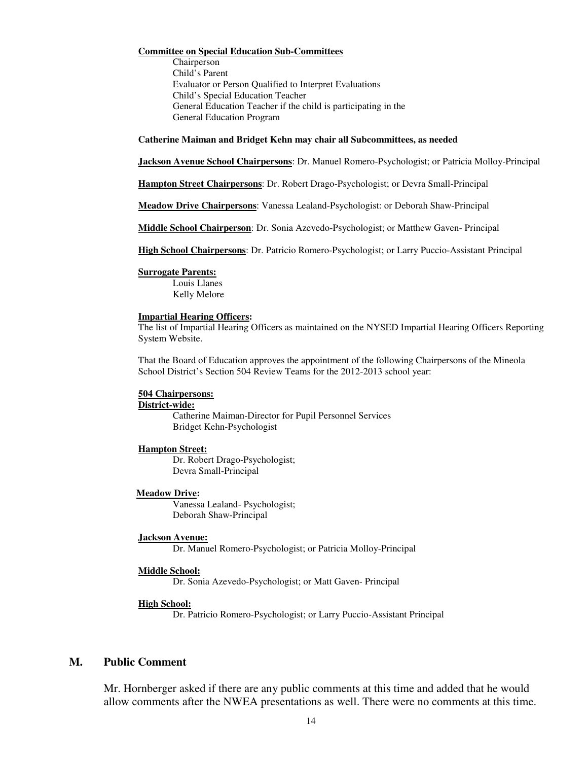#### **Committee on Special Education Sub-Committees**

Chairperson Child's Parent Evaluator or Person Qualified to Interpret Evaluations Child's Special Education Teacher General Education Teacher if the child is participating in the General Education Program

#### **Catherine Maiman and Bridget Kehn may chair all Subcommittees, as needed**

**Jackson Avenue School Chairpersons**: Dr. Manuel Romero-Psychologist; or Patricia Molloy-Principal

**Hampton Street Chairpersons**: Dr. Robert Drago-Psychologist; or Devra Small-Principal

**Meadow Drive Chairpersons**: Vanessa Lealand-Psychologist: or Deborah Shaw-Principal

**Middle School Chairperson**: Dr. Sonia Azevedo-Psychologist; or Matthew Gaven- Principal

**High School Chairpersons**: Dr. Patricio Romero-Psychologist; or Larry Puccio-Assistant Principal

#### **Surrogate Parents:**

Louis Llanes Kelly Melore

#### **Impartial Hearing Officers:**

The list of Impartial Hearing Officers as maintained on the NYSED Impartial Hearing Officers Reporting System Website.

That the Board of Education approves the appointment of the following Chairpersons of the Mineola School District's Section 504 Review Teams for the 2012-2013 school year:

#### **504 Chairpersons:**

#### **District-wide:**

Catherine Maiman-Director for Pupil Personnel Services Bridget Kehn-Psychologist

#### **Hampton Street:**

Dr. Robert Drago-Psychologist; Devra Small-Principal

#### **Meadow Drive:**

Vanessa Lealand- Psychologist; Deborah Shaw-Principal

#### **Jackson Avenue:**

Dr. Manuel Romero-Psychologist; or Patricia Molloy-Principal

#### **Middle School:**

Dr. Sonia Azevedo-Psychologist; or Matt Gaven- Principal

#### **High School:**

Dr. Patricio Romero-Psychologist; or Larry Puccio-Assistant Principal

#### **M. Public Comment**

Mr. Hornberger asked if there are any public comments at this time and added that he would allow comments after the NWEA presentations as well. There were no comments at this time.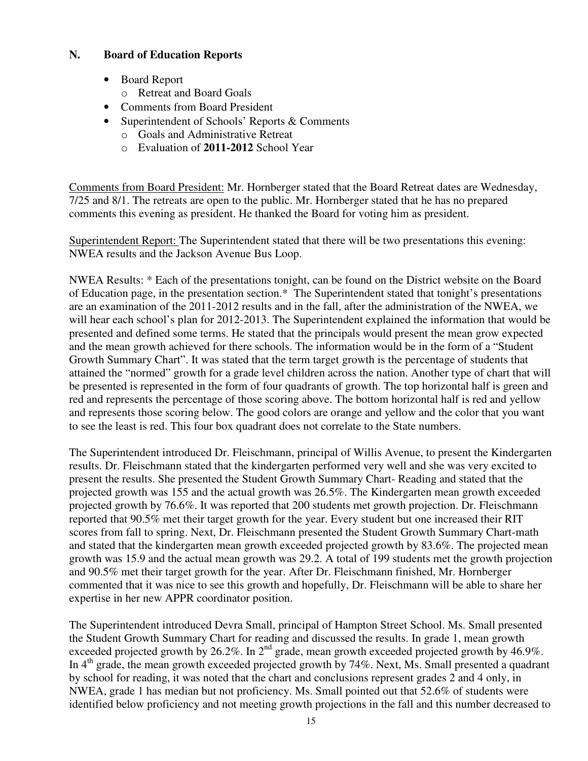## **N. Board of Education Reports**

- Board Report
	- o Retreat and Board Goals
- Comments from Board President
- Superintendent of Schools' Reports & Comments
	- o Goals and Administrative Retreat
	- o Evaluation of **2011-2012** School Year

Comments from Board President: Mr. Hornberger stated that the Board Retreat dates are Wednesday, 7/25 and 8/1. The retreats are open to the public. Mr. Hornberger stated that he has no prepared comments this evening as president. He thanked the Board for voting him as president.

Superintendent Report: The Superintendent stated that there will be two presentations this evening: NWEA results and the Jackson Avenue Bus Loop.

NWEA Results: \* Each of the presentations tonight, can be found on the District website on the Board of Education page, in the presentation section.\* The Superintendent stated that tonight's presentations are an examination of the 2011-2012 results and in the fall, after the administration of the NWEA, we will hear each school's plan for 2012-2013. The Superintendent explained the information that would be presented and defined some terms. He stated that the principals would present the mean grow expected and the mean growth achieved for there schools. The information would be in the form of a "Student Growth Summary Chart". It was stated that the term target growth is the percentage of students that attained the "normed" growth for a grade level children across the nation. Another type of chart that will be presented is represented in the form of four quadrants of growth. The top horizontal half is green and red and represents the percentage of those scoring above. The bottom horizontal half is red and yellow and represents those scoring below. The good colors are orange and yellow and the color that you want to see the least is red. This four box quadrant does not correlate to the State numbers.

The Superintendent introduced Dr. Fleischmann, principal of Willis Avenue, to present the Kindergarten results. Dr. Fleischmann stated that the kindergarten performed very well and she was very excited to present the results. She presented the Student Growth Summary Chart- Reading and stated that the projected growth was 155 and the actual growth was 26.5%. The Kindergarten mean growth exceeded projected growth by 76.6%. It was reported that 200 students met growth projection. Dr. Fleischmann reported that 90.5% met their target growth for the year. Every student but one increased their RIT scores from fall to spring. Next, Dr. Fleischmann presented the Student Growth Summary Chart-math and stated that the kindergarten mean growth exceeded projected growth by 83.6%. The projected mean growth was 15.9 and the actual mean growth was 29.2. A total of 199 students met the growth projection and 90.5% met their target growth for the year. After Dr. Fleischmann finished, Mr. Hornberger commented that it was nice to see this growth and hopefully, Dr. Fleischmann will be able to share her expertise in her new APPR coordinator position.

The Superintendent introduced Devra Small, principal of Hampton Street School. Ms. Small presented the Student Growth Summary Chart for reading and discussed the results. In grade 1, mean growth exceeded projected growth by 26.2%. In  $2^{nd}$  grade, mean growth exceeded projected growth by 46.9%. In  $4<sup>th</sup>$  grade, the mean growth exceeded projected growth by 74%. Next, Ms. Small presented a quadrant by school for reading, it was noted that the chart and conclusions represent grades 2 and 4 only, in NWEA, grade 1 has median but not proficiency. Ms. Small pointed out that 52.6% of students were identified below proficiency and not meeting growth projections in the fall and this number decreased to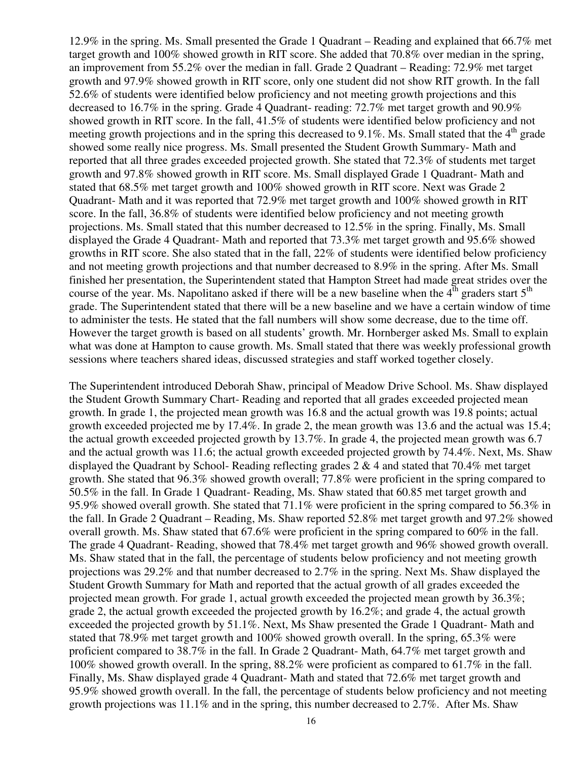12.9% in the spring. Ms. Small presented the Grade 1 Quadrant – Reading and explained that 66.7% met target growth and 100% showed growth in RIT score. She added that 70.8% over median in the spring, an improvement from 55.2% over the median in fall. Grade 2 Quadrant – Reading: 72.9% met target growth and 97.9% showed growth in RIT score, only one student did not show RIT growth. In the fall 52.6% of students were identified below proficiency and not meeting growth projections and this decreased to 16.7% in the spring. Grade 4 Quadrant- reading: 72.7% met target growth and 90.9% showed growth in RIT score. In the fall, 41.5% of students were identified below proficiency and not meeting growth projections and in the spring this decreased to 9.1%. Ms. Small stated that the  $4<sup>th</sup>$  grade showed some really nice progress. Ms. Small presented the Student Growth Summary- Math and reported that all three grades exceeded projected growth. She stated that 72.3% of students met target growth and 97.8% showed growth in RIT score. Ms. Small displayed Grade 1 Quadrant- Math and stated that 68.5% met target growth and 100% showed growth in RIT score. Next was Grade 2 Quadrant- Math and it was reported that 72.9% met target growth and 100% showed growth in RIT score. In the fall, 36.8% of students were identified below proficiency and not meeting growth projections. Ms. Small stated that this number decreased to 12.5% in the spring. Finally, Ms. Small displayed the Grade 4 Quadrant- Math and reported that 73.3% met target growth and 95.6% showed growths in RIT score. She also stated that in the fall, 22% of students were identified below proficiency and not meeting growth projections and that number decreased to 8.9% in the spring. After Ms. Small finished her presentation, the Superintendent stated that Hampton Street had made great strides over the course of the year. Ms. Napolitano asked if there will be a new baseline when the  $4^{\text{th}}$  graders start  $5^{\text{th}}$ grade. The Superintendent stated that there will be a new baseline and we have a certain window of time to administer the tests. He stated that the fall numbers will show some decrease, due to the time off. However the target growth is based on all students' growth. Mr. Hornberger asked Ms. Small to explain what was done at Hampton to cause growth. Ms. Small stated that there was weekly professional growth sessions where teachers shared ideas, discussed strategies and staff worked together closely.

The Superintendent introduced Deborah Shaw, principal of Meadow Drive School. Ms. Shaw displayed the Student Growth Summary Chart- Reading and reported that all grades exceeded projected mean growth. In grade 1, the projected mean growth was 16.8 and the actual growth was 19.8 points; actual growth exceeded projected me by 17.4%. In grade 2, the mean growth was 13.6 and the actual was 15.4; the actual growth exceeded projected growth by 13.7%. In grade 4, the projected mean growth was 6.7 and the actual growth was 11.6; the actual growth exceeded projected growth by 74.4%. Next, Ms. Shaw displayed the Quadrant by School- Reading reflecting grades 2 & 4 and stated that 70.4% met target growth. She stated that 96.3% showed growth overall; 77.8% were proficient in the spring compared to 50.5% in the fall. In Grade 1 Quadrant- Reading, Ms. Shaw stated that 60.85 met target growth and 95.9% showed overall growth. She stated that 71.1% were proficient in the spring compared to 56.3% in the fall. In Grade 2 Quadrant – Reading, Ms. Shaw reported 52.8% met target growth and 97.2% showed overall growth. Ms. Shaw stated that 67.6% were proficient in the spring compared to 60% in the fall. The grade 4 Quadrant- Reading, showed that 78.4% met target growth and 96% showed growth overall. Ms. Shaw stated that in the fall, the percentage of students below proficiency and not meeting growth projections was 29.2% and that number decreased to 2.7% in the spring. Next Ms. Shaw displayed the Student Growth Summary for Math and reported that the actual growth of all grades exceeded the projected mean growth. For grade 1, actual growth exceeded the projected mean growth by 36.3%; grade 2, the actual growth exceeded the projected growth by 16.2%; and grade 4, the actual growth exceeded the projected growth by 51.1%. Next, Ms Shaw presented the Grade 1 Quadrant- Math and stated that 78.9% met target growth and 100% showed growth overall. In the spring, 65.3% were proficient compared to 38.7% in the fall. In Grade 2 Quadrant- Math, 64.7% met target growth and 100% showed growth overall. In the spring, 88.2% were proficient as compared to 61.7% in the fall. Finally, Ms. Shaw displayed grade 4 Quadrant- Math and stated that 72.6% met target growth and 95.9% showed growth overall. In the fall, the percentage of students below proficiency and not meeting growth projections was  $11.1\%$  and in the spring, this number decreased to 2.7%. After Ms. Shaw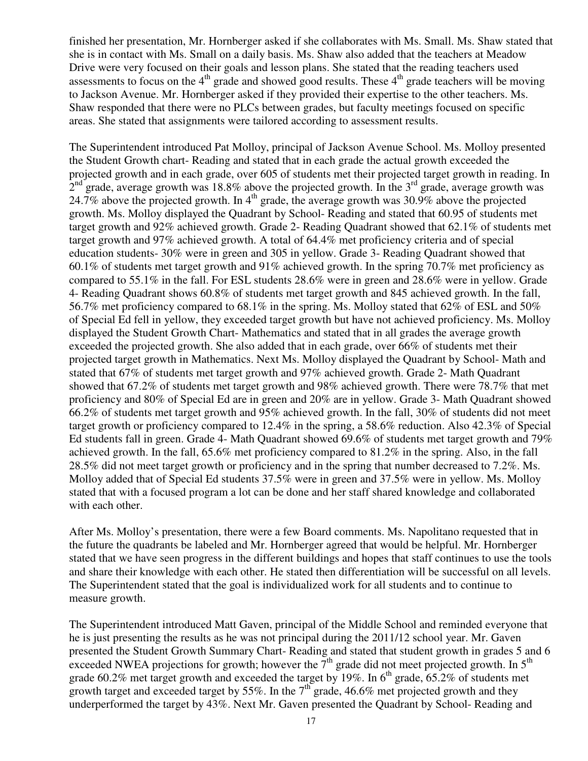finished her presentation, Mr. Hornberger asked if she collaborates with Ms. Small. Ms. Shaw stated that she is in contact with Ms. Small on a daily basis. Ms. Shaw also added that the teachers at Meadow Drive were very focused on their goals and lesson plans. She stated that the reading teachers used assessments to focus on the  $4<sup>th</sup>$  grade and showed good results. These  $4<sup>th</sup>$  grade teachers will be moving to Jackson Avenue. Mr. Hornberger asked if they provided their expertise to the other teachers. Ms. Shaw responded that there were no PLCs between grades, but faculty meetings focused on specific areas. She stated that assignments were tailored according to assessment results.

The Superintendent introduced Pat Molloy, principal of Jackson Avenue School. Ms. Molloy presented the Student Growth chart- Reading and stated that in each grade the actual growth exceeded the projected growth and in each grade, over 605 of students met their projected target growth in reading. In  $2<sup>nd</sup>$  grade, average growth was 18.8% above the projected growth. In the 3<sup>rd</sup> grade, average growth was 24.7% above the projected growth. In  $4<sup>th</sup>$  grade, the average growth was 30.9% above the projected growth. Ms. Molloy displayed the Quadrant by School- Reading and stated that 60.95 of students met target growth and 92% achieved growth. Grade 2- Reading Quadrant showed that 62.1% of students met target growth and 97% achieved growth. A total of 64.4% met proficiency criteria and of special education students- 30% were in green and 305 in yellow. Grade 3- Reading Quadrant showed that 60.1% of students met target growth and 91% achieved growth. In the spring 70.7% met proficiency as compared to 55.1% in the fall. For ESL students 28.6% were in green and 28.6% were in yellow. Grade 4- Reading Quadrant shows 60.8% of students met target growth and 845 achieved growth. In the fall, 56.7% met proficiency compared to 68.1% in the spring. Ms. Molloy stated that 62% of ESL and 50% of Special Ed fell in yellow, they exceeded target growth but have not achieved proficiency. Ms. Molloy displayed the Student Growth Chart- Mathematics and stated that in all grades the average growth exceeded the projected growth. She also added that in each grade, over 66% of students met their projected target growth in Mathematics. Next Ms. Molloy displayed the Quadrant by School- Math and stated that 67% of students met target growth and 97% achieved growth. Grade 2- Math Quadrant showed that 67.2% of students met target growth and 98% achieved growth. There were 78.7% that met proficiency and 80% of Special Ed are in green and 20% are in yellow. Grade 3- Math Quadrant showed 66.2% of students met target growth and 95% achieved growth. In the fall, 30% of students did not meet target growth or proficiency compared to 12.4% in the spring, a 58.6% reduction. Also 42.3% of Special Ed students fall in green. Grade 4- Math Quadrant showed 69.6% of students met target growth and 79% achieved growth. In the fall, 65.6% met proficiency compared to 81.2% in the spring. Also, in the fall 28.5% did not meet target growth or proficiency and in the spring that number decreased to 7.2%. Ms. Molloy added that of Special Ed students 37.5% were in green and 37.5% were in yellow. Ms. Molloy stated that with a focused program a lot can be done and her staff shared knowledge and collaborated with each other.

After Ms. Molloy's presentation, there were a few Board comments. Ms. Napolitano requested that in the future the quadrants be labeled and Mr. Hornberger agreed that would be helpful. Mr. Hornberger stated that we have seen progress in the different buildings and hopes that staff continues to use the tools and share their knowledge with each other. He stated then differentiation will be successful on all levels. The Superintendent stated that the goal is individualized work for all students and to continue to measure growth.

The Superintendent introduced Matt Gaven, principal of the Middle School and reminded everyone that he is just presenting the results as he was not principal during the 2011/12 school year. Mr. Gaven presented the Student Growth Summary Chart- Reading and stated that student growth in grades 5 and 6 exceeded NWEA projections for growth; however the  $7<sup>th</sup>$  grade did not meet projected growth. In  $5<sup>th</sup>$ grade 60.2% met target growth and exceeded the target by 19%. In  $6<sup>th</sup>$  grade, 65.2% of students met growth target and exceeded target by 55%. In the  $7<sup>th</sup>$  grade, 46.6% met projected growth and they underperformed the target by 43%. Next Mr. Gaven presented the Quadrant by School- Reading and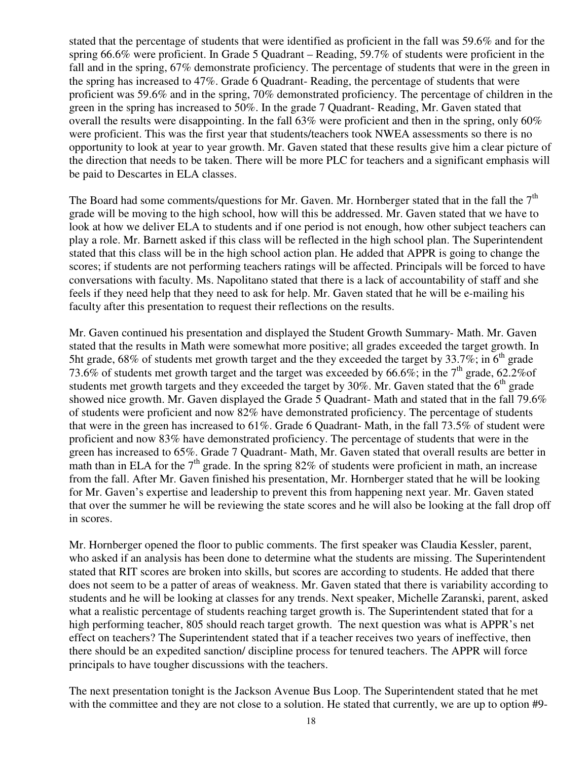stated that the percentage of students that were identified as proficient in the fall was 59.6% and for the spring 66.6% were proficient. In Grade 5 Quadrant – Reading, 59.7% of students were proficient in the fall and in the spring, 67% demonstrate proficiency. The percentage of students that were in the green in the spring has increased to 47%. Grade 6 Quadrant- Reading, the percentage of students that were proficient was 59.6% and in the spring, 70% demonstrated proficiency. The percentage of children in the green in the spring has increased to 50%. In the grade 7 Quadrant- Reading, Mr. Gaven stated that overall the results were disappointing. In the fall 63% were proficient and then in the spring, only 60% were proficient. This was the first year that students/teachers took NWEA assessments so there is no opportunity to look at year to year growth. Mr. Gaven stated that these results give him a clear picture of the direction that needs to be taken. There will be more PLC for teachers and a significant emphasis will be paid to Descartes in ELA classes.

The Board had some comments/questions for Mr. Gaven. Mr. Hornberger stated that in the fall the  $7<sup>th</sup>$ grade will be moving to the high school, how will this be addressed. Mr. Gaven stated that we have to look at how we deliver ELA to students and if one period is not enough, how other subject teachers can play a role. Mr. Barnett asked if this class will be reflected in the high school plan. The Superintendent stated that this class will be in the high school action plan. He added that APPR is going to change the scores; if students are not performing teachers ratings will be affected. Principals will be forced to have conversations with faculty. Ms. Napolitano stated that there is a lack of accountability of staff and she feels if they need help that they need to ask for help. Mr. Gaven stated that he will be e-mailing his faculty after this presentation to request their reflections on the results.

Mr. Gaven continued his presentation and displayed the Student Growth Summary- Math. Mr. Gaven stated that the results in Math were somewhat more positive; all grades exceeded the target growth. In 5ht grade, 68% of students met growth target and the they exceeded the target by  $33.7\%$ ; in 6<sup>th</sup> grade 73.6% of students met growth target and the target was exceeded by 66.6%; in the  $7<sup>th</sup>$  grade, 62.2%of students met growth targets and they exceeded the target by 30%. Mr. Gaven stated that the 6<sup>th</sup> grade showed nice growth. Mr. Gaven displayed the Grade 5 Quadrant- Math and stated that in the fall 79.6% of students were proficient and now 82% have demonstrated proficiency. The percentage of students that were in the green has increased to 61%. Grade 6 Quadrant- Math, in the fall 73.5% of student were proficient and now 83% have demonstrated proficiency. The percentage of students that were in the green has increased to 65%. Grade 7 Quadrant- Math, Mr. Gaven stated that overall results are better in math than in ELA for the  $7<sup>th</sup>$  grade. In the spring 82% of students were proficient in math, an increase from the fall. After Mr. Gaven finished his presentation, Mr. Hornberger stated that he will be looking for Mr. Gaven's expertise and leadership to prevent this from happening next year. Mr. Gaven stated that over the summer he will be reviewing the state scores and he will also be looking at the fall drop off in scores.

Mr. Hornberger opened the floor to public comments. The first speaker was Claudia Kessler, parent, who asked if an analysis has been done to determine what the students are missing. The Superintendent stated that RIT scores are broken into skills, but scores are according to students. He added that there does not seem to be a patter of areas of weakness. Mr. Gaven stated that there is variability according to students and he will be looking at classes for any trends. Next speaker, Michelle Zaranski, parent, asked what a realistic percentage of students reaching target growth is. The Superintendent stated that for a high performing teacher, 805 should reach target growth. The next question was what is APPR's net effect on teachers? The Superintendent stated that if a teacher receives two years of ineffective, then there should be an expedited sanction/ discipline process for tenured teachers. The APPR will force principals to have tougher discussions with the teachers.

The next presentation tonight is the Jackson Avenue Bus Loop. The Superintendent stated that he met with the committee and they are not close to a solution. He stated that currently, we are up to option #9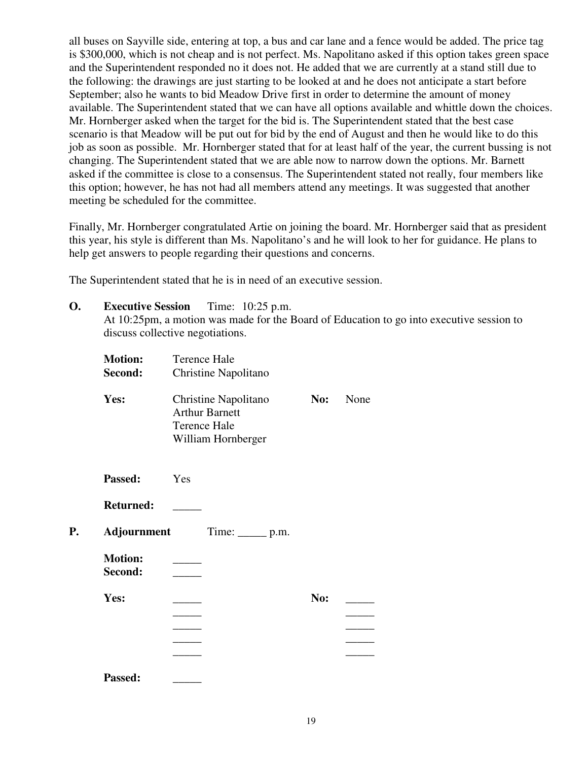all buses on Sayville side, entering at top, a bus and car lane and a fence would be added. The price tag is \$300,000, which is not cheap and is not perfect. Ms. Napolitano asked if this option takes green space and the Superintendent responded no it does not. He added that we are currently at a stand still due to the following: the drawings are just starting to be looked at and he does not anticipate a start before September; also he wants to bid Meadow Drive first in order to determine the amount of money available. The Superintendent stated that we can have all options available and whittle down the choices. Mr. Hornberger asked when the target for the bid is. The Superintendent stated that the best case scenario is that Meadow will be put out for bid by the end of August and then he would like to do this job as soon as possible. Mr. Hornberger stated that for at least half of the year, the current bussing is not changing. The Superintendent stated that we are able now to narrow down the options. Mr. Barnett asked if the committee is close to a consensus. The Superintendent stated not really, four members like this option; however, he has not had all members attend any meetings. It was suggested that another meeting be scheduled for the committee.

Finally, Mr. Hornberger congratulated Artie on joining the board. Mr. Hornberger said that as president this year, his style is different than Ms. Napolitano's and he will look to her for guidance. He plans to help get answers to people regarding their questions and concerns.

The Superintendent stated that he is in need of an executive session.

**O. Executive Session** Time: 10:25 p.m. At 10:25pm, a motion was made for the Board of Education to go into executive session to discuss collective negotiations.

| <b>Motion:</b>            | <b>Terence Hale</b>                                                                        |     |      |
|---------------------------|--------------------------------------------------------------------------------------------|-----|------|
| Second:                   | Christine Napolitano                                                                       |     |      |
| Yes:                      | Christine Napolitano<br><b>Arthur Barnett</b><br><b>Terence Hale</b><br>William Hornberger | No: | None |
| Passed:                   | Yes                                                                                        |     |      |
| <b>Returned:</b>          |                                                                                            |     |      |
| Adjournment               | Time: $\rule{1em}{0.15mm}$ p.m.                                                            |     |      |
| <b>Motion:</b><br>Second: |                                                                                            |     |      |
| Yes:                      |                                                                                            | No: |      |
| Passed:                   |                                                                                            |     |      |